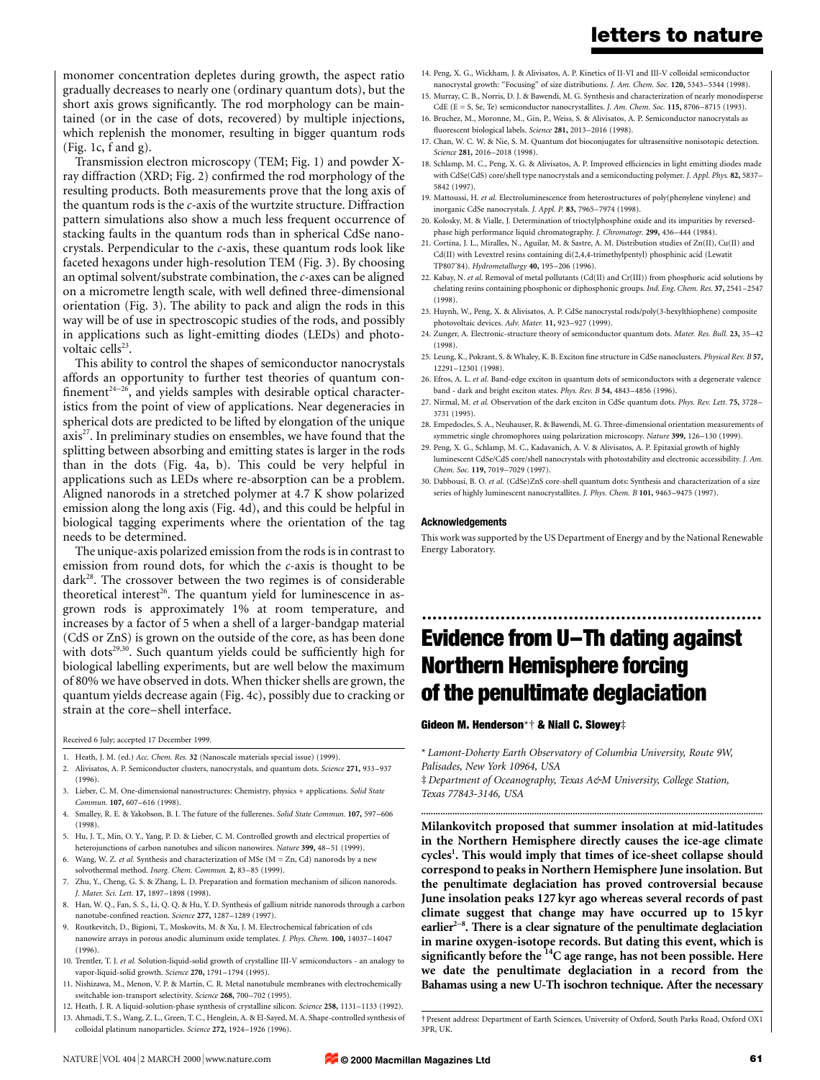monomer concentration depletes during growth, the aspect ratio gradually decreases to nearly one (ordinary quantum dots), but the short axis grows significantly. The rod morphology can be maintained (or in the case of dots, recovered) by multiple injections, which replenish the monomer, resulting in bigger quantum rods  $(Fig. 1c, f and g).$ 

Transmission electron microscopy (TEM; Fig. 1) and powder Xray diffraction (XRD; Fig. 2) confirmed the rod morphology of the resulting products. Both measurements prove that the long axis of the quantum rods is the  $c$ -axis of the wurtzite structure. Diffraction pattern simulations also show a much less frequent occurrence of stacking faults in the quantum rods than in spherical CdSe nanocrystals. Perpendicular to the c-axis, these quantum rods look like faceted hexagons under high-resolution TEM (Fig. 3). By choosing an optimal solvent/substrate combination, the c-axes can be aligned on a micrometre length scale, with well defined three-dimensional orientation (Fig. 3). The ability to pack and align the rods in this way will be of use in spectroscopic studies of the rods, and possibly in applications such as light-emitting diodes (LEDs) and photovoltaic cells $23$ .

This ability to control the shapes of semiconductor nanocrystals affords an opportunity to further test theories of quantum con finement<sup>24-26</sup>, and yields samples with desirable optical characteristics from the point of view of applications. Near degeneracies in spherical dots are predicted to be lifted by elongation of the unique  $axis<sup>27</sup>$ . In preliminary studies on ensembles, we have found that the splitting between absorbing and emitting states is larger in the rods than in the dots (Fig. 4a, b). This could be very helpful in applications such as LEDs where re-absorption can be a problem. Aligned nanorods in a stretched polymer at 4.7 K show polarized emission along the long axis (Fig. 4d), and this could be helpful in biological tagging experiments where the orientation of the tag needs to be determined.

The unique-axis polarized emission from the rods is in contrast to emission from round dots, for which the c-axis is thought to be dark<sup>28</sup>. The crossover between the two regimes is of considerable theoretical interest<sup>26</sup>. The quantum yield for luminescence in asgrown rods is approximately 1% at room temperature, and increases by a factor of 5 when a shell of a larger-bandgap material (CdS or ZnS) is grown on the outside of the core, as has been done with dots<sup>29,30</sup>. Such quantum yields could be sufficiently high for biological labelling experiments, but are well below the maximum of 80% we have observed in dots. When thicker shells are grown, the quantum yields decrease again (Fig. 4c), possibly due to cracking or strain at the core-shell interface.

Received 6 July; accepted 17 December 1999.

1. Heath, J. M. (ed.) Acc. Chem. Res. 32 (Nanoscale materials special issue) (1999)

- 2. Alivisatos, A. P. Semiconductor clusters, nanocrystals, and quantum dots. Science 271, 933–937 (1996).
- 3. Lieber, C. M. One-dimensional nanostructures: Chemistry, physics + applications. Solid State Commun. 107, 607-616 (1998).
- 4. Smalley, R. E. & Yakobson, B. I. The future of the fullerenes. Solid State Commun. 107, 597–606 (1998).
- 5. Hu, J. T., Min, O. Y., Yang, P. D. & Lieber, C. M. Controlled growth and electrical properties of heterojunctions of carbon nanotubes and silicon nanowires. Nature 399, 48–51 (1999).
- 6. Wang, W. Z. et al. Synthesis and characterization of MSe (M = Zn, Cd) nanorods by a new solvothermal method. Inorg. Chem. Commun. 2, 83-85 (1999).
- 7. Zhu, Y., Cheng, G. S. & Zhang, L. D. Preparation and formation mechanism of silicon nanorods. J. Mater. Sci. Lett. 17, 1897-1898 (1998).
- 8. Han, W. Q., Fan, S. S., Li, Q. Q. & Hu, Y. D. Synthesis of gallium nitride nanorods through a carbon nanotube-confined reaction. Science 277, 1287-1289 (1997).
- 9. Routkevitch, D., Bigioni, T., Moskovits, M. & Xu, J. M. Electrochemical fabrication of cds nanowire arrays in porous anodic aluminum oxide templates. J. Phys. Chem. 100, 14037-14047 (1996).
- 10. Trentler, T. J. et al. Solution-liquid-solid growth of crystalline III-V semiconductors an analogy to vapor-liquid-solid growth. Science 270, 1791-1794 (1995).
- 11. Nishizawa, M., Menon, V. P. & Martin, C. R. Metal nanotubule membranes with electrochemically switchable ion-transport selectivity. Science 268, 700-702 (1995).
- 12. Heath, J. R. A liquid-solution-phase synthesis of crystalline silicon. Science 258, 1131-1133 (1992).
- 13. Ahmadi, T. S., Wang, Z. L., Green, T. C., Henglein, A. & El-Sayed, M. A. Shape-controlled synthesis of colloidal platinum nanoparticles. Science 272, 1924-1926 (1996).
- 14. Peng, X. G., Wickham, J. & Alivisatos, A. P. Kinetics of II-VI and III-V colloidal semiconductor nanocrystal growth: "Focusing" of size distributions. J. Am. Chem. Soc. 120, 5343-5344 (1998).
- 15. Murray, C. B., Norris, D. J. & Bawendi, M. G. Synthesis and characterization of nearly monodisperse CdE (E = S, Se, Te) semiconductor nanocrystallites. J. Am. Chem. Soc. 115, 8706-8715 (1993).
- 16. Bruchez, M., Moronne, M., Gin, P., Weiss, S. & Alivisatos, A. P. Semiconductor nanocrystals as fluorescent biological labels. Science 281, 2013-2016 (1998).
- 17. Chan, W. C. W. & Nie, S. M. Quantum dot bioconjugates for ultrasensitive nonisotopic detection. Science 281, 2016-2018 (1998).
- 18. Schlamp, M. C., Peng, X. G. & Alivisatos, A. P. Improved efficiencies in light emitting diodes made with CdSe(CdS) core/shell type nanocrystals and a semiconducting polymer. J. Appl. Phys. 82, 5837-5842 (1997).
- 19. Mattoussi, H. et al. Electroluminescence from heterostructures of poly(phenylene vinylene) and inorganic CdSe nanocrystals. J. Appl. P. 83, 7965-7974 (1998).
- 20. Kolosky, M. & Vialle, J. Determination of trioctylphosphine oxide and its impurities by reversedphase high performance liquid chromatography. J. Chromatogr. 299, 436-444 (1984).
- 21. Cortina, J. L., Miralles, N., Aguilar, M. & Sastre, A. M. Distribution studies of Zn(II), Cu(II) and Cd(II) with Levextrel resins containing di(2,4,4-trimethylpentyl) phosphinic acid (Lewatit TP807'84). Hydrometallurgy 40, 195-206 (1996).
- 22. Kabay, N. et al. Removal of metal pollutants (Cd(II) and Cr(III)) from phosphoric acid solutions by chelating resins containing phosphonic or diphosphonic groups. Ind. Eng. Chem. Res. 37, 2541-2547 (1998).
- 23. Huynh, W., Peng, X. & Alivisatos, A. P. CdSe nanocrystal rods/poly(3-hexylthiophene) composite photovoltaic devices. Adv. Mater. 11, 923-927 (1999).
- 24. Zunger, A. Electronic-structure theory of semiconductor quantum dots. Mater. Res. Bull. 23, 35-42 (1998).
- 25. Leung, K., Pokrant, S. & Whaley, K. B. Exciton fine structure in CdSe nanoclusters. Physical Rev. B 57, 12291±12301 (1998).
- 26. Efros, A. L. et al. Band-edge exciton in quantum dots of semiconductors with a degenerate valence band - dark and bright exciton states. Phys. Rev. B 54, 4843-4856 (1996).
- 27. Nirmal, M. et al. Observation of the dark exciton in CdSe quantum dots. Phys. Rev. Lett. 75, 3728-3731 (1995).
- 28. Empedocles, S. A., Neuhauser, R. & Bawendi, M. G. Three-dimensional orientation measurements of symmetric single chromophores using polarization microscopy. Nature 399, 126-130 (1999).
- 29. Peng, X. G., Schlamp, M. C., Kadavanich, A. V. & Alivisatos, A. P. Epitaxial growth of highly luminescent CdSe/CdS core/shell nanocrystals with photostability and electronic accessibility. J. Am. Chem. Soc. 119, 7019-7029 (1997).
- 30. Dabbousi, B. O. et al. (CdSe)ZnS core-shell quantum dots: Synthesis and characterization of a size series of highly luminescent nanocrystallites. J. Phys. Chem. B 101, 9463-9475 (1997).

#### Acknowledgements

This work was supported by the US Department of Energy and by the National Renewable Energy Laboratory.

# ................................................................. Evidence from U-Th dating against Northern Hemisphere forcing of the penultimate deglaciation

Gideon M. Henderson $*$ † & Niall C. Slowey‡

\* Lamont-Doherty Earth Observatory of Columbia University, Route 9W, Palisades, New York 10964, USA

³ Department of Oceanography, Texas A&M University, College Station, Texas 77843-3146, USA

Milankovitch proposed that summer insolation at mid-latitudes in the Northern Hemisphere directly causes the ice-age climate cycles<sup>1</sup>. This would imply that times of ice-sheet collapse should correspond to peaks in Northern Hemisphere June insolation. But the penultimate deglaciation has proved controversial because June insolation peaks 127 kyr ago whereas several records of past climate suggest that change may have occurred up to 15 kyr earlier<sup> $2-8$ </sup>. There is a clear signature of the penultimate deglaciation in marine oxygen-isotope records. But dating this event, which is significantly before the  ${}^{14}C$  age range, has not been possible. Here we date the penultimate deglaciation in a record from the Bahamas using a new U-Th isochron technique. After the necessary

..............................................................................................................................................

² Present address: Department of Earth Sciences, University of Oxford, South Parks Road, Oxford OX1 3PR, UK.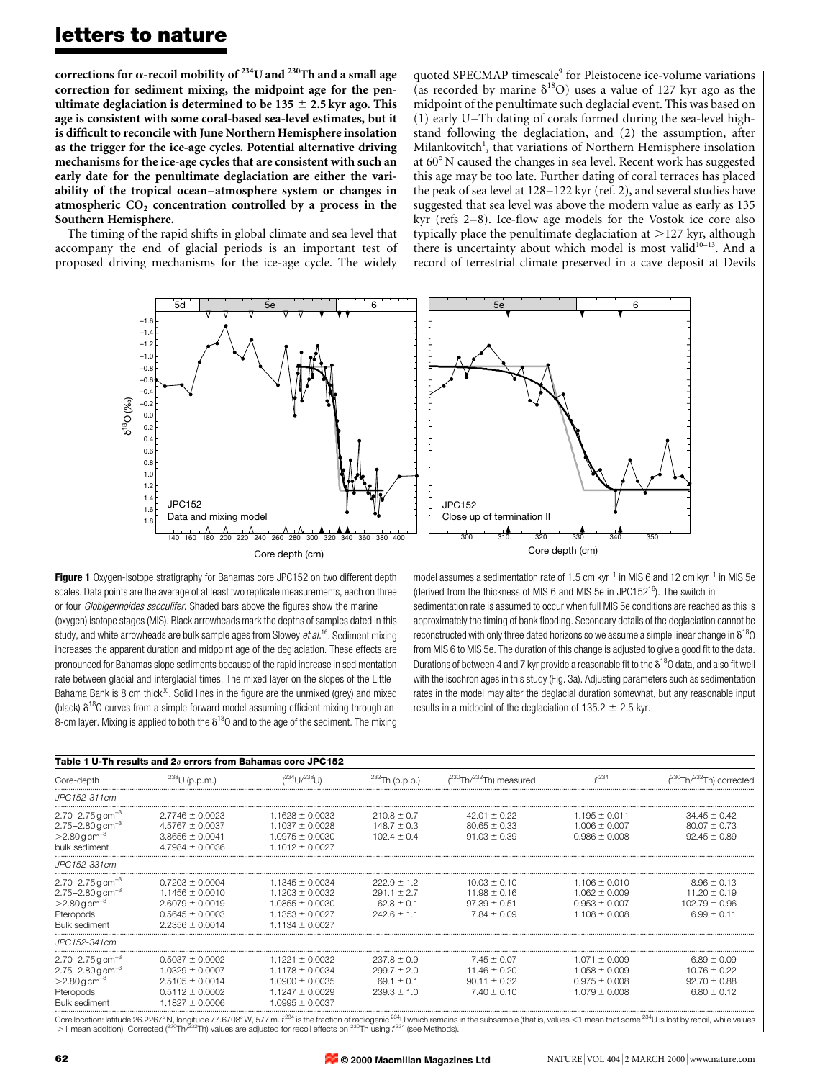corrections for  $\alpha$ -recoil mobility of <sup>234</sup>U and <sup>230</sup>Th and a small age correction for sediment mixing, the midpoint age for the penultimate deglaciation is determined to be  $135 \pm 2.5$  kyr ago. This age is consistent with some coral-based sea-level estimates, but it is difficult to reconcile with June Northern Hemisphere insolation as the trigger for the ice-age cycles. Potential alternative driving mechanisms for the ice-age cycles that are consistent with such an early date for the penultimate deglaciation are either the variability of the tropical ocean-atmosphere system or changes in atmospheric  $CO<sub>2</sub>$  concentration controlled by a process in the Southern Hemisphere.

The timing of the rapid shifts in global climate and sea level that accompany the end of glacial periods is an important test of proposed driving mechanisms for the ice-age cycle. The widely quoted SPECMAP timescale<sup>9</sup> for Pleistocene ice-volume variations (as recorded by marine  $\delta^{18}O$ ) uses a value of 127 kyr ago as the midpoint of the penultimate such deglacial event. This was based on (1) early U $-Th$  dating of corals formed during the sea-level highstand following the deglaciation, and (2) the assumption, after Milankovitch<sup>1</sup>, that variations of Northern Hemisphere insolation at  $60^{\circ}$  N caused the changes in sea level. Recent work has suggested this age may be too late. Further dating of coral terraces has placed the peak of sea level at  $128-122$  kyr (ref. 2), and several studies have suggested that sea level was above the modern value as early as 135 kyr (refs  $2-8$ ). Ice-flow age models for the Vostok ice core also typically place the penultimate deglaciation at  $>127$  kyr, although there is uncertainty about which model is most valid $10^{-13}$ . And a record of terrestrial climate preserved in a cave deposit at Devils



**Figure 1** Oxygen-isotope stratigraphy for Bahamas core JPC152 on two different depth scales. Data points are the average of at least two replicate measurements, each on three or four Globigerinoides sacculifer. Shaded bars above the figures show the marine (oxygen) isotope stages (MIS). Black arrowheads mark the depths of samples dated in this study, and white arrowheads are bulk sample ages from Slowey  $et al.^{16}$ . Sediment mixing increases the apparent duration and midpoint age of the deglaciation. These effects are pronounced for Bahamas slope sediments because of the rapid increase in sedimentation rate between glacial and interglacial times. The mixed layer on the slopes of the Little Bahama Bank is 8 cm thick $30$ . Solid lines in the figure are the unmixed (grey) and mixed (black)  $\delta^{18}$ O curves from a simple forward model assuming efficient mixing through an 8-cm layer. Mixing is applied to both the  $\delta^{18}$ O and to the age of the sediment. The mixing

model assumes a sedimentation rate of 1.5 cm  $kyr^{-1}$  in MIS 6 and 12 cm  $kyr^{-1}$  in MIS 5e (derived from the thickness of MIS 6 and MIS 5e in JPC152<sup>16</sup>). The switch in sedimentation rate is assumed to occur when full MIS 5e conditions are reached as this is approximately the timing of bank flooding. Secondary details of the deglaciation cannot be reconstructed with only three dated horizons so we assume a simple linear change in  $\delta^{18}O$ from MIS 6 to MIS 5e. The duration of this change is adjusted to give a good fit to the data. Durations of between 4 and 7 kyr provide a reasonable fit to the  $\delta^{18}$ O data, and also fit well with the isochron ages in this study (Fig. 3a). Adjusting parameters such as sedimentation rates in the model may alter the deglacial duration somewhat, but any reasonable input results in a midpoint of the deglaciation of 135.2  $\pm$  2.5 kyr.

| Table 1 U-Th results and $2\sigma$ errors from Bahamas core JPC152                                                                      |                                                                                                                 |                                                                                                                 |                                                                         |                                                                             |                                                                                  |                                                                             |
|-----------------------------------------------------------------------------------------------------------------------------------------|-----------------------------------------------------------------------------------------------------------------|-----------------------------------------------------------------------------------------------------------------|-------------------------------------------------------------------------|-----------------------------------------------------------------------------|----------------------------------------------------------------------------------|-----------------------------------------------------------------------------|
| Core-depth                                                                                                                              | $^{238}$ U (p.p.m.)                                                                                             | $(234)$ $(1/238)$                                                                                               | $^{232}$ Th (p.p.b.)                                                    | $(^{230}Th/^{232}Th)$ measured                                              | 234                                                                              | $(^{230}Th/^{232}Th)$ corrected                                             |
| JPC152-311cm                                                                                                                            |                                                                                                                 |                                                                                                                 |                                                                         |                                                                             |                                                                                  |                                                                             |
| $2.70 - 2.75$ g cm <sup>-3</sup><br>$2.75 - 2.80$ g cm <sup>-3</sup><br>$>2.80$ g cm <sup>-3</sup><br>bulk sediment                     | $2.7746 \pm 0.0023$<br>$4.5767 \pm 0.0037$<br>$3.8656 \pm 0.0041$<br>$4.7984 \pm 0.0036$                        | $1.1628 \pm 0.0033$<br>$1.1037 \pm 0.0028$<br>$1.0975 \pm 0.0030$<br>$1.1012 \pm 0.0027$                        | $210.8 \pm 0.7$<br>$148.7 \pm 0.3$<br>$102.4 \pm 0.4$                   | $42.01 \pm 0.22$<br>$80.65 \pm 0.33$<br>$91.03 \pm 0.39$                    | $1.195 \pm 0.011$<br>$1.006 \pm 0.007$<br>$0.986 \pm 0.008$                      | $34.45 \pm 0.42$<br>$80.07 \pm 0.73$<br>$92.45 \pm 0.89$                    |
| JPC152-331cm                                                                                                                            |                                                                                                                 |                                                                                                                 |                                                                         |                                                                             |                                                                                  |                                                                             |
| $2.70 - 2.75$ g cm <sup>-3</sup><br>$2.75 - 2.80$ g cm <sup>-3</sup><br>$>2.80 g cm^{-3}$<br>Pteropods<br><b>Bulk sediment</b>          | $0.7203 \pm 0.0004$<br>$1.1456 \pm 0.0010$<br>$2.6079 \pm 0.0019$<br>$0.5645 \pm 0.0003$<br>$2.2356 \pm 0.0014$ | $1.1345 \pm 0.0034$<br>$1.1203 \pm 0.0032$<br>$1.0855 \pm 0.0030$<br>$1.1353 \pm 0.0027$<br>$1.1134 \pm 0.0027$ | $222.9 \pm 1.2$<br>$291.1 \pm 2.7$<br>$62.8 \pm 0.1$<br>$242.6 \pm 1.1$ | $10.03 \pm 0.10$<br>$11.98 \pm 0.16$<br>$97.39 \pm 0.51$<br>$7.84 \pm 0.09$ | $1.106 \pm 0.010$<br>$1.062 \pm 0.009$<br>$0.953 \pm 0.007$<br>$1.108 \pm 0.008$ | $8.96 \pm 0.13$<br>$11.20 \pm 0.19$<br>$102.79 \pm 0.96$<br>$6.99 \pm 0.11$ |
| JPC152-341cm                                                                                                                            |                                                                                                                 |                                                                                                                 |                                                                         |                                                                             |                                                                                  |                                                                             |
| $2.70 - 2.75$ g cm <sup>-3</sup><br>$2.75 - 2.80$ g cm <sup>-3</sup><br>$>2.80$ g cm <sup>-3</sup><br>Pteropods<br><b>Bulk sediment</b> | $0.5037 \pm 0.0002$<br>$1.0329 \pm 0.0007$<br>$2.5105 \pm 0.0014$<br>$0.5112 \pm 0.0002$<br>$1.1827 \pm 0.0006$ | $1.1221 \pm 0.0032$<br>$1.1178 \pm 0.0034$<br>$1.0900 \pm 0.0035$<br>$1.1247 \pm 0.0029$<br>$1.0995 \pm 0.0037$ | $237.8 \pm 0.9$<br>$299.7 \pm 2.0$<br>$69.1 \pm 0.1$<br>$239.3 \pm 1.0$ | $7.45 \pm 0.07$<br>$11.46 \pm 0.20$<br>$90.11 \pm 0.32$<br>$7.40 \pm 0.10$  | $1.071 \pm 0.009$<br>$1.058 \pm 0.009$<br>$0.975 \pm 0.008$<br>$1.079 \pm 0.008$ | $6.89 \pm 0.09$<br>$10.76 \pm 0.22$<br>$92.70 \pm 0.88$<br>$6.80 \pm 0.12$  |

Bulk sediment meridion and the state of the state of the state of the state of the state of the state of the state of the state of the state of the state of the state of the state of the state of the state of the state of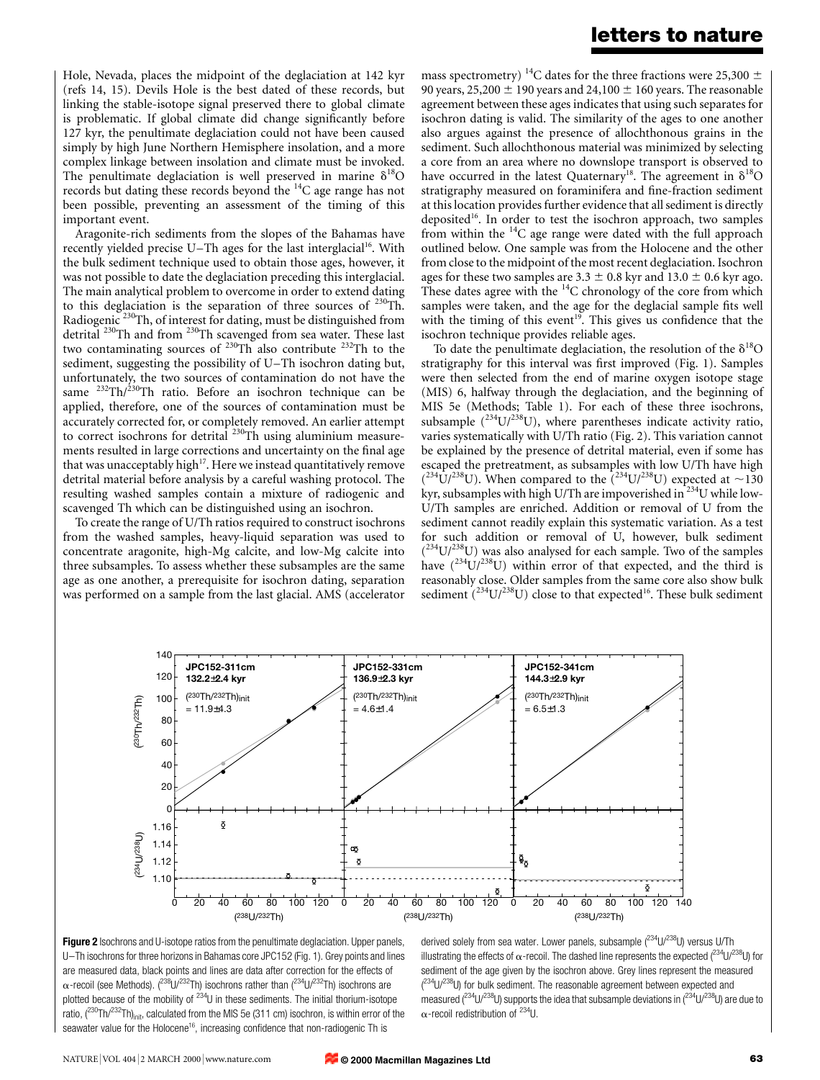Hole, Nevada, places the midpoint of the deglaciation at 142 kyr (refs 14, 15). Devils Hole is the best dated of these records, but linking the stable-isotope signal preserved there to global climate is problematic. If global climate did change significantly before 127 kyr, the penultimate deglaciation could not have been caused simply by high June Northern Hemisphere insolation, and a more complex linkage between insolation and climate must be invoked. The penultimate deglaciation is well preserved in marine  $\delta^{18}O$ records but dating these records beyond the  $^{14}$ C age range has not been possible, preventing an assessment of the timing of this important event.

Aragonite-rich sediments from the slopes of the Bahamas have recently yielded precise U $-Th$  ages for the last interglacial<sup>16</sup>. With the bulk sediment technique used to obtain those ages, however, it was not possible to date the deglaciation preceding this interglacial. The main analytical problem to overcome in order to extend dating to this deglaciation is the separation of three sources of  $^{230}$ Th. Radiogenic<sup>230</sup>Th, of interest for dating, must be distinguished from detrital 230Th and from 230Th scavenged from sea water. These last two contaminating sources of  $^{230}Th$  also contribute  $^{232}Th$  to the sediment, suggesting the possibility of U-Th isochron dating but, unfortunately, the two sources of contamination do not have the same <sup>232</sup>Th/<sup>230</sup>Th ratio. Before an isochron technique can be applied, therefore, one of the sources of contamination must be accurately corrected for, or completely removed. An earlier attempt to correct isochrons for detrital  $^{230}$ Th using aluminium measurements resulted in large corrections and uncertainty on the final age that was unacceptably high<sup>17</sup>. Here we instead quantitatively remove detrital material before analysis by a careful washing protocol. The resulting washed samples contain a mixture of radiogenic and scavenged Th which can be distinguished using an isochron.

To create the range of U/Th ratios required to construct isochrons from the washed samples, heavy-liquid separation was used to concentrate aragonite, high-Mg calcite, and low-Mg calcite into three subsamples. To assess whether these subsamples are the same age as one another, a prerequisite for isochron dating, separation was performed on a sample from the last glacial. AMS (accelerator mass spectrometry)<sup>14</sup>C dates for the three fractions were 25,300  $\pm$ 90 years, 25,200  $\pm$  190 years and 24,100  $\pm$  160 years. The reasonable agreement between these ages indicates that using such separates for isochron dating is valid. The similarity of the ages to one another also argues against the presence of allochthonous grains in the sediment. Such allochthonous material was minimized by selecting a core from an area where no downslope transport is observed to have occurred in the latest Quaternary<sup>18</sup>. The agreement in  $\delta^{18}O$ stratigraphy measured on foraminifera and fine-fraction sediment at this location provides further evidence that all sediment is directly deposited<sup>16</sup>. In order to test the isochron approach, two samples from within the  $^{14}$ C age range were dated with the full approach outlined below. One sample was from the Holocene and the other from close to the midpoint of the most recent deglaciation. Isochron ages for these two samples are  $3.3 \pm 0.8$  kyr and  $13.0 \pm 0.6$  kyr ago. These dates agree with the  $^{14}$ C chronology of the core from which samples were taken, and the age for the deglacial sample fits well with the timing of this event<sup>19</sup>. This gives us confidence that the isochron technique provides reliable ages.

To date the penultimate deglaciation, the resolution of the  $\delta^{18}O$ stratigraphy for this interval was first improved (Fig. 1). Samples were then selected from the end of marine oxygen isotope stage (MIS) 6, halfway through the deglaciation, and the beginning of MIS 5e (Methods; Table 1). For each of these three isochrons, subsample  $(^{234}U/^{238}U)$ , where parentheses indicate activity ratio, varies systematically with U/Th ratio (Fig. 2). This variation cannot be explained by the presence of detrital material, even if some has escaped the pretreatment, as subsamples with low U/Th have high  $(234 \text{U})^{238}$ U). When compared to the  $(234 \text{U})^{238}$ U) expected at  $\sim$ 130 kyr, subsamples with high U/Th are impoverished in  $^{234}$ U while low-U/Th samples are enriched. Addition or removal of U from the sediment cannot readily explain this systematic variation. As a test for such addition or removal of U, however, bulk sediment  $(^{234}U/^{238}U)$  was also analysed for each sample. Two of the samples have  $(^{234}U/^{238}U)$  within error of that expected, and the third is reasonably close. Older samples from the same core also show bulk sediment  $(^{234}U/^{238}U)$  close to that expected<sup>16</sup>. These bulk sediment



Figure 2 Isochrons and U-isotope ratios from the penultimate deglaciation. Upper panels, U-Th isochrons for three horizons in Bahamas core JPC152 (Fig. 1). Grey points and lines are measured data, black points and lines are data after correction for the effects of  $\alpha$ -recoil (see Methods). (<sup>238</sup>U/<sup>232</sup>Th) isochrons rather than (<sup>234</sup>U/<sup>232</sup>Th) isochrons are plotted because of the mobility of  $234$ U in these sediments. The initial thorium-isotope ratio,  $(^{230}Th/^{232}Th)_{init}$ , calculated from the MIS 5e (311 cm) isochron, is within error of the seawater value for the Holocene<sup>16</sup>, increasing confidence that non-radiogenic Th is

derived solely from sea water. Lower panels, subsample (234U/238U) versus U/Th illustrating the effects of  $\alpha$ -recoil. The dashed line represents the expected ( $^{234}$ U/ $^{238}$ U) for sediment of the age given by the isochron above. Grey lines represent the measured  $(^{234}$ U/ $^{238}$ U) for bulk sediment. The reasonable agreement between expected and measured  $(^{234}U/^{238}U)$  supports the idea that subsample deviations in  $(^{234}U/^{238}U)$  are due to  $\alpha$ -recoil redistribution of <sup>234</sup>U.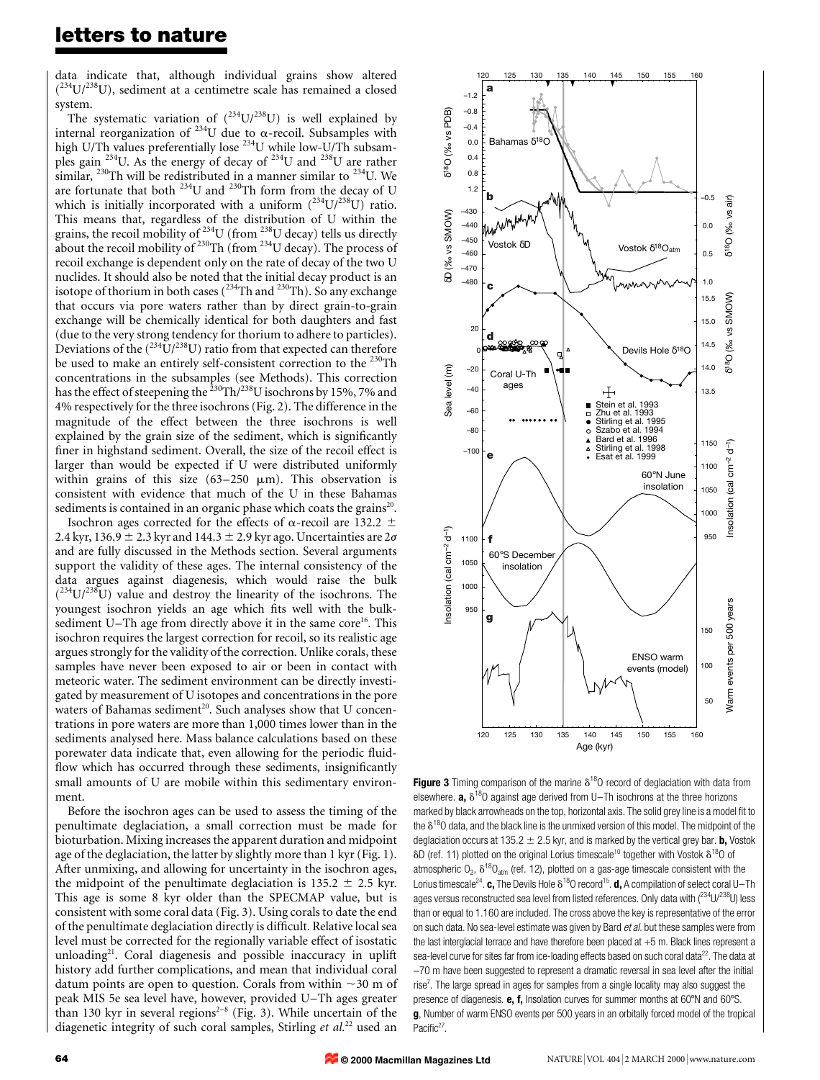data indicate that, although individual grains show altered  $(^{234}U/^{238}U)$ , sediment at a centimetre scale has remained a closed system.

The systematic variation of  $(^{234}U/^{238}U)$  is well explained by internal reorganization of <sup>234</sup>U due to  $\alpha$ -recoil. Subsamples with high U/Th values preferentially lose <sup>234</sup>U while low-U/Th subsamples gain <sup>234</sup>U. As the energy of decay of <sup>234</sup>U and <sup>238</sup>U are rather similar,  $^{230}$ Th will be redistributed in a manner similar to  $^{234}$ U. We are fortunate that both  $^{234}$ U and  $^{230}$ Th form from the decay of U which is initially incorporated with a uniform  $(^{234}U/^{238}U)$  ratio. This means that, regardless of the distribution of U within the grains, the recoil mobility of  $^{234}$ U (from  $^{238}$ U decay) tells us directly about the recoil mobility of  $230$ Th (from  $234$ U decay). The process of recoil exchange is dependent only on the rate of decay of the two U nuclides. It should also be noted that the initial decay product is an isotope of thorium in both cases  $(^{234}$ Th and  $^{230}$ Th). So any exchange that occurs via pore waters rather than by direct grain-to-grain exchange will be chemically identical for both daughters and fast (due to the very strong tendency for thorium to adhere to particles). Deviations of the  $(^{234}U/^{238}U)$  ratio from that expected can therefore be used to make an entirely self-consistent correction to the <sup>230</sup>Th concentrations in the subsamples (see Methods). This correction has the effect of steepening the  $^{230}$ Th/ $^{238}$ U isochrons by 15%, 7% and 4% respectively for the three isochrons (Fig. 2). The difference in the magnitude of the effect between the three isochrons is well explained by the grain size of the sediment, which is significantly finer in highstand sediment. Overall, the size of the recoil effect is larger than would be expected if U were distributed uniformly within grains of this size  $(63-250 \mu m)$ . This observation is consistent with evidence that much of the U in these Bahamas sediments is contained in an organic phase which coats the grains<sup>20</sup>.

Isochron ages corrected for the effects of  $\alpha$ -recoil are 132.2  $\pm$ 2.4 kyr, 136.9  $\pm$  2.3 kyr and 144.3  $\pm$  2.9 kyr ago. Uncertainties are 2 $\sigma$ and are fully discussed in the Methods section. Several arguments support the validity of these ages. The internal consistency of the data argues against diagenesis, which would raise the bulk  $(234U/238U)$  value and destroy the linearity of the isochrons. The youngest isochron yields an age which fits well with the bulksediment U-Th age from directly above it in the same core<sup>16</sup>. This isochron requires the largest correction for recoil, so its realistic age argues strongly for the validity of the correction. Unlike corals, these samples have never been exposed to air or been in contact with meteoric water. The sediment environment can be directly investigated by measurement of U isotopes and concentrations in the pore waters of Bahamas sediment<sup>20</sup>. Such analyses show that U concentrations in pore waters are more than 1,000 times lower than in the sediments analysed here. Mass balance calculations based on these porewater data indicate that, even allowing for the periodic fluidflow which has occurred through these sediments, insignificantly small amounts of U are mobile within this sedimentary environment.

Before the isochron ages can be used to assess the timing of the penultimate deglaciation, a small correction must be made for bioturbation. Mixing increases the apparent duration and midpoint age of the deglaciation, the latter by slightly more than 1 kyr (Fig. 1). After unmixing, and allowing for uncertainty in the isochron ages, the midpoint of the penultimate deglaciation is  $135.2 \pm 2.5$  kyr. This age is some 8 kyr older than the SPECMAP value, but is consistent with some coral data (Fig. 3). Using corals to date the end of the penultimate deglaciation directly is difficult. Relative local sea level must be corrected for the regionally variable effect of isostatic unloading<sup>21</sup>. Coral diagenesis and possible inaccuracy in uplift history add further complications, and mean that individual coral datum points are open to question. Corals from within  $\sim$ 30 m of peak MIS 5e sea level have, however, provided U-Th ages greater than 130 kyr in several regions<sup>2-8</sup> (Fig. 3). While uncertain of the diagenetic integrity of such coral samples, Stirling et  $al$ .<sup>22</sup> used an



Figure 3 Timing comparison of the marine  $\delta^{18}$ O record of deglaciation with data from elsewhere. **a,**  $\delta^{18}$ O against age derived from U-Th isochrons at the three horizons marked by black arrowheads on the top, horizontal axis. The solid grey line is a model fit to the  $\delta^{18}$ O data, and the black line is the unmixed version of this model. The midpoint of the deglaciation occurs at 135.2  $\pm$  2.5 kyr, and is marked by the vertical grey bar. **b**, Vostok  $\delta$ D (ref. 11) plotted on the original Lorius timescale<sup>10</sup> together with Vostok  $\delta^{18}$ O of atmospheric  $O_2$ ,  $\delta^{18}O_{atm}$  (ref. 12), plotted on a gas-age timescale consistent with the Lorius timescale<sup>24</sup>. c, The Devils Hole  $\delta^{18}$ O record<sup>15</sup>. d, A compilation of select coral U-Th ages versus reconstructed sea level from listed references. Only data with  $(^{234}U/^{238}U)$  less than or equal to 1.160 are included. The cross above the key is representative of the error on such data. No sea-level estimate was given by Bard et al. but these samples were from the last interglacial terrace and have therefore been placed at +5 m. Black lines represent a sea-level curve for sites far from ice-loading effects based on such coral data<sup>22</sup>. The data at -70 m have been suggested to represent a dramatic reversal in sea level after the initial rise<sup>7</sup>. The large spread in ages for samples from a single locality may also suggest the presence of diagenesis.  $e$ ,  $f$ , Insolation curves for summer months at 60 $^{\circ}$ N and 60 $^{\circ}$ S. g, Number of warm ENSO events per 500 years in an orbitally forced model of the tropical Pacific<sup>27</sup>.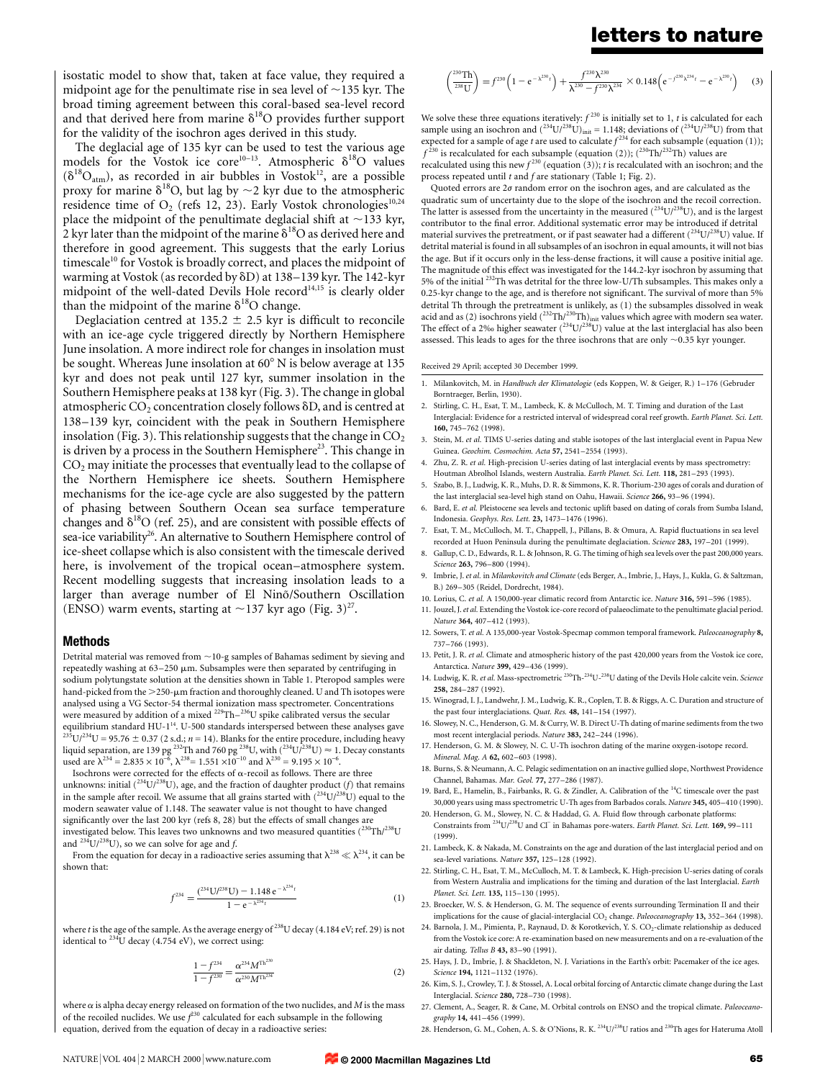isostatic model to show that, taken at face value, they required a midpoint age for the penultimate rise in sea level of  $\sim$ 135 kyr. The broad timing agreement between this coral-based sea-level record and that derived here from marine  $\delta^{18}O$  provides further support for the validity of the isochron ages derived in this study.

The deglacial age of 135 kyr can be used to test the various age models for the Vostok ice core<sup>10-13</sup>. Atmospheric  $\delta^{18}O$  values  $(\delta^{18}O_{atm})$ , as recorded in air bubbles in Vostok<sup>12</sup>, are a possible proxy for marine  $\delta^{18}O$ , but lag by  $\sim$  2 kyr due to the atmospheric residence time of  $O_2$  (refs 12, 23). Early Vostok chronologies<sup>10,24</sup> place the midpoint of the penultimate deglacial shift at  $\sim$ 133 kyr, 2 kyr later than the midpoint of the marine  $\delta^{18}O$  as derived here and therefore in good agreement. This suggests that the early Lorius timescale<sup>10</sup> for Vostok is broadly correct, and places the midpoint of warming at Vostok (as recorded by  $\delta$ D) at 138-139 kyr. The 142-kyr midpoint of the well-dated Devils Hole record<sup>14,15</sup> is clearly older than the midpoint of the marine  $\delta^{18}$ O change.

Deglaciation centred at 135.2  $\pm$  2.5 kyr is difficult to reconcile with an ice-age cycle triggered directly by Northern Hemisphere June insolation. A more indirect role for changes in insolation must be sought. Whereas June insolation at  $60^{\circ}$  N is below average at 135 kyr and does not peak until 127 kyr, summer insolation in the Southern Hemisphere peaks at 138 kyr (Fig. 3). The change in global atmospheric  $CO<sub>2</sub>$  concentration closely follows  $\delta D$ , and is centred at 138-139 kyr, coincident with the peak in Southern Hemisphere insolation (Fig. 3). This relationship suggests that the change in  $CO<sub>2</sub>$ is driven by a process in the Southern Hemisphere<sup>23</sup>. This change in  $CO<sub>2</sub>$  may initiate the processes that eventually lead to the collapse of the Northern Hemisphere ice sheets. Southern Hemisphere mechanisms for the ice-age cycle are also suggested by the pattern of phasing between Southern Ocean sea surface temperature changes and  $\delta^{18}O$  (ref. 25), and are consistent with possible effects of sea-ice variability<sup>26</sup>. An alternative to Southern Hemisphere control of ice-sheet collapse which is also consistent with the timescale derived here, is involvement of the tropical ocean-atmosphere system. Recent modelling suggests that increasing insolation leads to a larger than average number of El Nino/Southern Oscillation (ENSO) warm events, starting at  $\sim$ 137 kyr ago (Fig. 3)<sup>27</sup>.

### Methods

Detrital material was removed from  $\sim\!10\text{-}g$  samples of Bahamas sediment by sieving and repeatedly washing at  $63-250 \mu m$ . Subsamples were then separated by centrifuging in sodium polytungstate solution at the densities shown in Table 1. Pteropod samples were hand-picked from the  $>$ 250- $\mu$ m fraction and thoroughly cleaned. U and Th isotopes were analysed using a VG Sector-54 thermal ionization mass spectrometer. Concentrations were measured by addition of a mixed  $^{229}$ Th $-^{236}$ U spike calibrated versus the secular equilibrium standard HU-1<sup>14</sup>. U-500 standards interspersed between these analyses gave  $^{235}$ U/<sup>234</sup>U = 95.76  $\pm$  0.37 (2 s.d.; *n* = 14). Blanks for the entire procedure, including heavy liquid separation, are 139 pg <sup>232</sup>Th and 760 pg <sup>238</sup>U, with  $(^{234}$ U $\bar{/}^{238}$ U)  $\approx 1$ . Decay constants used are  $\lambda^{234} = 2.835 \times 10^{-6}$ ,  $\lambda^{238} = 1.551 \times 10^{-10}$  and  $\lambda^{230} = 9.195 \times 10^{-6}$ .

Isochrons were corrected for the effects of  $\alpha$  -recoil as follows. There are three unknowns: initial  $(^{234}U/^{238}U)$ , age, and the fraction of daughter product (f) that remains in the sample after recoil. We assume that all grains started with  $(234 \text{U})^{238}$ U) equal to the modern seawater value of 1.148. The seawater value is not thought to have changed significantly over the last 200 kyr (refs 8, 28) but the effects of small changes are investigated below. This leaves two unknowns and two measured quantities  $(^{230}\mathrm{Th}/^{238}\mathrm{U}$ and  $^{234}$ U/<sup>238</sup>U), so we can solve for age and f.

From the equation for decay in a radioactive series assuming that  $\lambda^{238} \ll \lambda^{234}$ , it can be shown that:

$$
f^{234} = \frac{(^{234} \text{U}/^{238} \text{U}) - 1.148 \,\text{e}^{-\lambda^{234}t}}{1 - \text{e}^{-\lambda^{234}t}} \tag{1}
$$

where t is the age of the sample. As the average energy of  $^{238}$ U decay (4.184 eV; ref. 29) is not identical to  $^{234}$ U decay (4.754 eV), we correct using:

$$
\frac{1 - f^{234}}{1 - f^{230}} = \frac{\alpha^{234} M^{\text{Th}^{230}}}{\alpha^{230} M^{\text{Th}^{234}}}
$$
 (2)

where  $\alpha$  is alpha decay energy released on formation of the two nuclides, and  $M$  is the mass of the recoiled nuclides. We use  $f^{230}$  calculated for each subsample in the following equation, derived from the equation of decay in a radioactive series:

$$
\begin{pmatrix}^{230}\text{Th}\overline{\smash{1}}\\ \frac{238}{238\text{U}} \end{pmatrix} = f^{230} \left(1 - e^{-\lambda^{230}t}\right) + \frac{f^{230}\lambda^{230}}{\lambda^{230} - f^{230}\lambda^{234}} \times 0.148 \left(e^{-f^{230}\lambda^{234}t} - e^{-\lambda^{230}t}\right) \tag{3}
$$

We solve these three equations iteratively:  $f^{230}$  is initially set to 1, t is calculated for each sample using an isochron and  $(^{234}U/^{238}U)_{init} = 1.148$ ; deviations of  $(^{234}U/^{238}U)$  from that expected for a sample of age t are used to calculate  $f^{234}$  for each subsample (equation (1));  $f^{230}$  is recalculated for each subsample (equation (2));  $(^{230}Th/^{232}Th)$  values are recalculated using this new  $f^{230}$  (equation (3)); t is recalculated with an isochron; and the

process repeated until t and f are stationary (Table 1; Fig. 2). Quoted errors are  $2\sigma$  random error on the isochron ages, and are calculated as the quadratic sum of uncertainty due to the slope of the isochron and the recoil correction. The latter is assessed from the uncertainty in the measured  $(^{234}$ U/ $^{238}$ U), and is the largest contributor to the final error. Additional systematic error may be introduced if detrital material survives the pretreatment, or if past seawater had a different  $(^{234} \rm{U}/^{238} \rm{U})$  value. If detrital material is found in all subsamples of an isochron in equal amounts, it will not bias the age. But if it occurs only in the less-dense fractions, it will cause a positive initial age. The magnitude of this effect was investigated for the 144.2-kyr isochron by assuming that 5% of the initial 232Th was detrital for the three low-U/Th subsamples. This makes only a 0.25-kyr change to the age, and is therefore not significant. The survival of more than 5% detrital Th through the pretreatment is unlikely, as (1) the subsamples dissolved in weak acid and as (2) isochrons yield (<sup>232</sup>Th/<sup>230</sup>Th)<sub>init</sub> values which agree with modern sea water.<br>The effect of a 2‰ higher seawater (<sup>234</sup>U/<sup>238</sup>U) value at the last interglacial has also been

#### Received 29 April; accepted 30 December 1999.

1. Milankovitch, M. in Handbuch der Klimatologie (eds Koppen, W. & Geiger, R.) 1-176 (Gebruder Borntraeger, Berlin, 1930).

assessed. This leads to ages for the three isochrons that are only  $\sim$ 0.35 kyr younger.

- 2. Stirling, C. H., Esat, T. M., Lambeck, K. & McCulloch, M. T. Timing and duration of the Last Interglacial: Evidence for a restricted interval of widespread coral reef growth. Earth Planet. Sci. Lett. 160, 745±762 (1998).
- Stein, M. et al. TIMS U-series dating and stable isotopes of the last interglacial event in Papua New Guinea. Geochim. Cosmochim. Acta 57, 2541-2554 (1993).
- 4. Zhu, Z. R. et al. High-precision U-series dating of last interglacial events by mass spectrometry: Houtman Abrolhol Islands, western Australia. Earth Planet. Sci. Lett. 118, 281-293 (1993).
- 5. Szabo, B. J., Ludwig, K. R., Muhs, D. R. & Simmons, K. R. Thorium-230 ages of corals and duration of the last interglacial sea-level high stand on Oahu, Hawaii. Science 266, 93-96 (1994).
- 6. Bard, E. et al. Pleistocene sea levels and tectonic uplift based on dating of corals from Sumba Island, Indonesia. Geophys. Res. Lett. 23, 1473-1476 (1996).
- 7. Esat, T. M., McCulloch, M. T., Chappell, J., Pillans, B. & Omura, A. Rapid fluctuations in sea level recorded at Huon Peninsula during the penultimate deglaciation. Science 283, 197-201 (1999).
- 8. Gallup, C. D., Edwards, R. L. & Johnson, R. G. The timing of high sea levels over the past 200,000 years. Science 263, 796-800 (1994).
- 9. Imbrie, J. et al. in Milankovitch and Climate (eds Berger, A., Imbrie, J., Hays, J., Kukla, G. & Saltzman, B.) 269-305 (Reidel, Dordrecht, 1984).
- 10. Lorius, C. et al. A 150,000-year climatic record from Antarctic ice. Nature 316, 591-596 (1985).
- 11. Iouzel, I. et al. Extending the Vostok ice-core record of palaeoclimate to the penultimate glacial period. Nature 364, 407-412 (1993).
- 12. Sowers, T. et al. A 135,000-year Vostok-Specmap common temporal framework. Paleoceanography 8, 737±766 (1993).
- 13. Petit, J. R. et al. Climate and atmospheric history of the past 420,000 years from the Vostok ice core, Antarctica. Nature 399, 429-436 (1999).
- 14. Ludwig, K. R. et al. Mass-spectrometric <sup>230</sup>Th-<sup>234</sup>U-<sup>238</sup>U dating of the Devils Hole calcite vein. Science 258, 284±287 (1992).
- 15. Winograd, I. J., Landwehr, J. M., Ludwig, K. R., Coplen, T. B. & Riggs, A. C. Duration and structure of the past four interglaciations. Quat. Res. 48, 141-154 (1997).
- 16. Slowey, N. C., Henderson, G. M. & Curry, W. B. Direct U-Th dating of marine sediments from the two most recent interglacial periods. Nature 383, 242-244 (1996).
- 17. Henderson, G. M. & Slowey, N. C. U-Th isochron dating of the marine oxygen-isotope record. Mineral. Mag. A 62, 602-603 (1998).
- 18. Burns, S. & Neumann, A. C. Pelagic sedimentation on an inactive gullied slope, Northwest Providence Channel, Bahamas. Mar. Geol. 77, 277-286 (1987).
- 19. Bard, E., Hamelin, B., Fairbanks, R. G. & Zindler, A. Calibration of the 14C timescale over the past 30,000 years using mass spectrometric U-Th ages from Barbados corals. Nature 345, 405-410 (1990).
- 20. Henderson, G. M., Slowey, N. C. & Haddad, G. A. Fluid flow through carbonate platforms: Constraints from <sup>234</sup>U/<sup>238</sup>U and Cl<sup>-</sup> in Bahamas pore-waters. Earth Planet. Sci. Lett. 169, 99-111 (1999).
- 21. Lambeck, K. & Nakada, M. Constraints on the age and duration of the last interglacial period and on sea-level variations. Nature 357, 125-128 (1992).
- 22. Stirling, C. H., Esat, T. M., McCulloch, M. T. & Lambeck, K. High-precision U-series dating of corals from Western Australia and implications for the timing and duration of the last Interglacial. Earth Planet. Sci. Lett. 135, 115-130 (1995).
- 23. Broecker, W. S. & Henderson, G. M. The sequence of events surrounding Termination II and their implications for the cause of glacial-interglacial  $CO<sub>2</sub>$  change. Paleoceanography 13, 352-364 (1998).
- 24. Barnola, J. M., Pimienta, P., Raynaud, D. & Korotkevich, Y. S. CO<sub>2</sub>-climate relationship as deduced from the Vostok ice core: A re-examination based on new measurements and on a re-evaluation of the air dating. Tellus B 43, 83-90 (1991).
- 25. Hays, J. D., Imbrie, J. & Shackleton, N. J. Variations in the Earth's orbit: Pacemaker of the ice ages. Science 194, 1121-1132 (1976).
- 26. Kim, S. J., Crowley, T. J. & Stossel, A. Local orbital forcing of Antarctic climate change during the Last Interglacial. Science 280, 728-730 (1998).
- 27. Clement, A., Seager, R. & Cane, M. Orbital controls on ENSO and the tropical climate. Paleoceano graphy 14, 441-456 (1999).
- 28. Henderson, G. M., Cohen, A. S. & O'Nions, R. K.<sup>234</sup>U/<sup>238</sup>U ratios and <sup>230</sup>Th ages for Hateruma Atoll